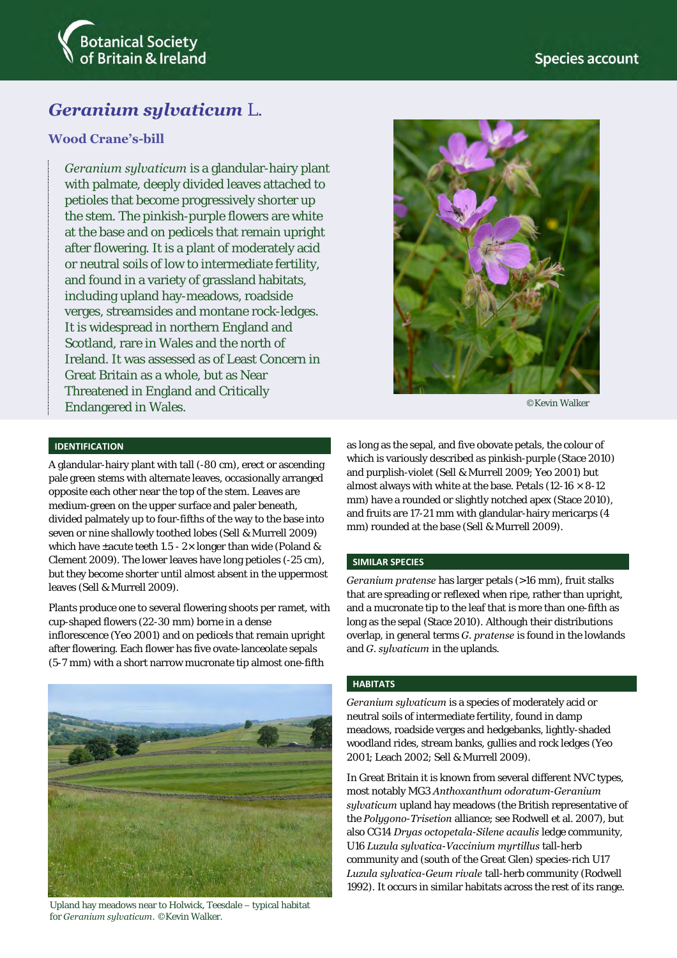

# *Geranium sylvaticum* L.

## **Wood Crane's-bill**

*Geranium sylvaticum* is a glandular-hairy plant with palmate, deeply divided leaves attached to petioles that become progressively shorter up the stem. The pinkish-purple flowers are white at the base and on pedicels that remain upright after flowering. It is a plant of moderately acid or neutral soils of low to intermediate fertility, and found in a variety of grassland habitats, including upland hay-meadows, roadside verges, streamsides and montane rock-ledges. It is widespread in northern England and Scotland, rare in Wales and the north of Ireland. It was assessed as of Least Concern in Great Britain as a whole, but as Near Threatened in England and Critically Endangered in Wales.



©Kevin Walker

## **IDENTIFICATION**

A glandular-hairy plant with tall (-80 cm), erect or ascending pale green stems with alternate leaves, occasionally arranged opposite each other near the top of the stem. Leaves are medium-green on the upper surface and paler beneath, divided palmately up to four-fifths of the way to the base into seven or nine shallowly toothed lobes (Sell & Murrell 2009) which have ±acute teeth 1.5 - 2× longer than wide (Poland & Clement 2009). The lower leaves have long petioles (-25 cm), but they become shorter until almost absent in the uppermost leaves (Sell & Murrell 2009).

Plants produce one to several flowering shoots per ramet, with cup-shaped flowers (22-30 mm) borne in a dense inflorescence (Yeo 2001) and on pedicels that remain upright after flowering. Each flower has five ovate-lanceolate sepals (5-7 mm) with a short narrow mucronate tip almost one-fifth



Upland hay meadows near to Holwick, Teesdale – typical habitat for *Geranium sylvaticum*. ©Kevin Walker.

as long as the sepal, and five obovate petals, the colour of which is variously described as pinkish-purple (Stace 2010) and purplish-violet (Sell & Murrell 2009; Yeo 2001) but almost always with white at the base. Petals (12-16  $\times$  8-12 mm) have a rounded or slightly notched apex (Stace 2010), and fruits are 17-21 mm with glandular-hairy mericarps (4 mm) rounded at the base (Sell & Murrell 2009).

#### **SIMILAR SPECIES**

*Geranium pratense* has larger petals (>16 mm), fruit stalks that are spreading or reflexed when ripe, rather than upright, and a mucronate tip to the leaf that is more than one-fifth as long as the sepal (Stace 2010). Although their distributions overlap, in general terms *G. pratense* is found in the lowlands and *G. sylvaticum* in the uplands.

#### **HABITATS**

*Geranium sylvaticum* is a species of moderately acid or neutral soils of intermediate fertility, found in damp meadows, roadside verges and hedgebanks, lightly-shaded woodland rides, stream banks, gullies and rock ledges (Yeo 2001; Leach 2002; Sell & Murrell 2009).

In Great Britain it is known from several different NVC types, most notably MG3 *Anthoxanthum odoratum*-*Geranium sylvaticum* upland hay meadows (the British representative of the *Polygono*-*Trisetion* alliance; see Rodwell et al. 2007), but also CG14 *Dryas octopetala*-*Silene acaulis* ledge community, U16 *Luzula sylvatica*-*Vaccinium myrtillus* tall-herb community and (south of the Great Glen) species-rich U17 *Luzula sylvatica*-*Geum rivale* tall-herb community (Rodwell 1992). It occurs in similar habitats across the rest of its range.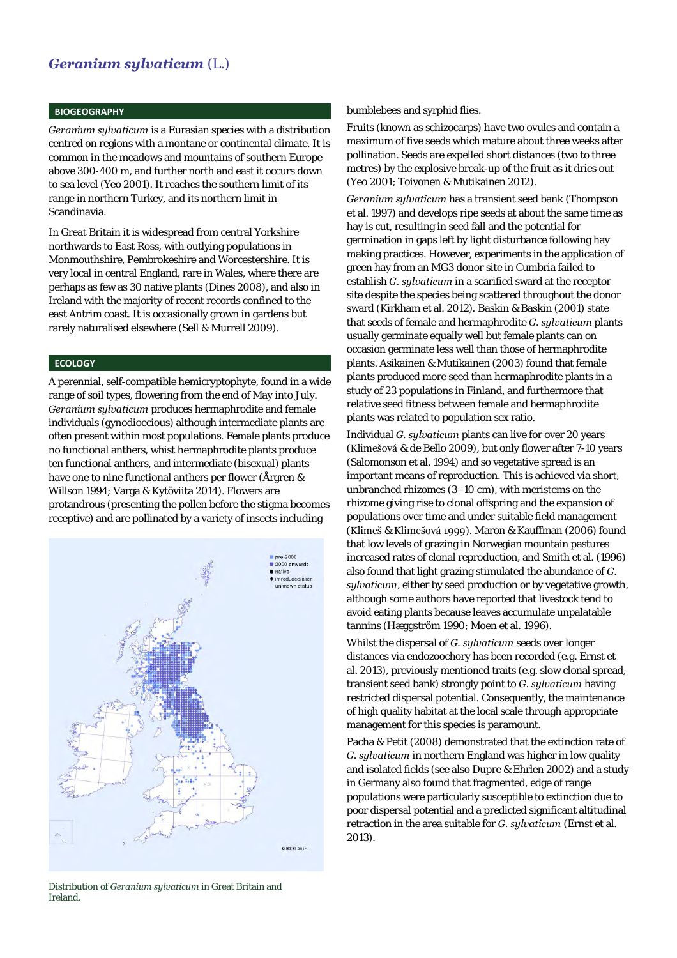## *Geranium sylvaticum* (L.)

### **BIOGEOGRAPHY**

*Geranium sylvaticum* is a Eurasian species with a distribution centred on regions with a montane or continental climate. It is common in the meadows and mountains of southern Europe above 300-400 m, and further north and east it occurs down to sea level (Yeo 2001). It reaches the southern limit of its range in northern Turkey, and its northern limit in Scandinavia.

In Great Britain it is widespread from central Yorkshire northwards to East Ross, with outlying populations in Monmouthshire, Pembrokeshire and Worcestershire. It is very local in central England, rare in Wales, where there are perhaps as few as 30 native plants (Dines 2008), and also in Ireland with the majority of recent records confined to the east Antrim coast. It is occasionally grown in gardens but rarely naturalised elsewhere (Sell & Murrell 2009).

### **ECOLOGY**

A perennial, self-compatible hemicryptophyte, found in a wide range of soil types, flowering from the end of May into July. *Geranium sylvaticum* produces hermaphrodite and female individuals (gynodioecious) although intermediate plants are often present within most populations. Female plants produce no functional anthers, whist hermaphrodite plants produce ten functional anthers, and intermediate (bisexual) plants have one to nine functional anthers per flower (Årgren & Willson 1994; Varga & Kytöviita 2014). Flowers are protandrous (presenting the pollen before the stigma becomes receptive) and are pollinated by a variety of insects including



#### Distribution of *Geranium sylvaticum* in Great Britain and Ireland.

#### bumblebees and syrphid flies.

Fruits (known as schizocarps) have two ovules and contain a maximum of five seeds which mature about three weeks after pollination. Seeds are expelled short distances (two to three metres) by the explosive break-up of the fruit as it dries out (Yeo 2001; Toivonen & Mutikainen 2012).

*Geranium sylvaticum* has a transient seed bank (Thompson et al. 1997) and develops ripe seeds at about the same time as hay is cut, resulting in seed fall and the potential for germination in gaps left by light disturbance following hay making practices. However, experiments in the application of green hay from an MG3 donor site in Cumbria failed to establish *G. sylvaticum* in a scarified sward at the receptor site despite the species being scattered throughout the donor sward (Kirkham et al. 2012)*.* Baskin & Baskin (2001) state that seeds of female and hermaphrodite *G. sylvaticum* plants usually germinate equally well but female plants can on occasion germinate less well than those of hermaphrodite plants. Asikainen & Mutikainen (2003) found that female plants produced more seed than hermaphrodite plants in a study of 23 populations in Finland, and furthermore that relative seed fitness between female and hermaphrodite plants was related to population sex ratio.

Individual *G. sylvaticum* plants can live for over 20 years (Klimešová & de Bello 2009), but only flower after 7-10 years (Salomonson et al. 1994) and so vegetative spread is an important means of reproduction. This is achieved via short, unbranched rhizomes (3–10 cm), with meristems on the rhizome giving rise to clonal offspring and the expansion of populations over time and under suitable field management (Klimeš & Klimešová 1999). Maron & Kauffman (2006) found that low levels of grazing in Norwegian mountain pastures increased rates of clonal reproduction, and Smith et al. (1996) also found that light grazing stimulated the abundance of *G. sylvaticum*, either by seed production or by vegetative growth, although some authors have reported that livestock tend to avoid eating plants because leaves accumulate unpalatable tannins (Hæggström 1990; Moen et al. 1996).

Whilst the dispersal of *G. sylvaticum* seeds over longer distances via endozoochory has been recorded (e.g. Ernst et al. 2013), previously mentioned traits (e.g. slow clonal spread, transient seed bank) strongly point to *G. sylvaticum* having restricted dispersal potential. Consequently, the maintenance of high quality habitat at the local scale through appropriate management for this species is paramount.

Pacha & Petit (2008) demonstrated that the extinction rate of *G. sylvaticum* in northern England was higher in low quality and isolated fields (see also Dupre & Ehrlen 2002) and a study in Germany also found that fragmented, edge of range populations were particularly susceptible to extinction due to poor dispersal potential and a predicted significant altitudinal retraction in the area suitable for *G. sylvaticum* (Ernst et al. 2013).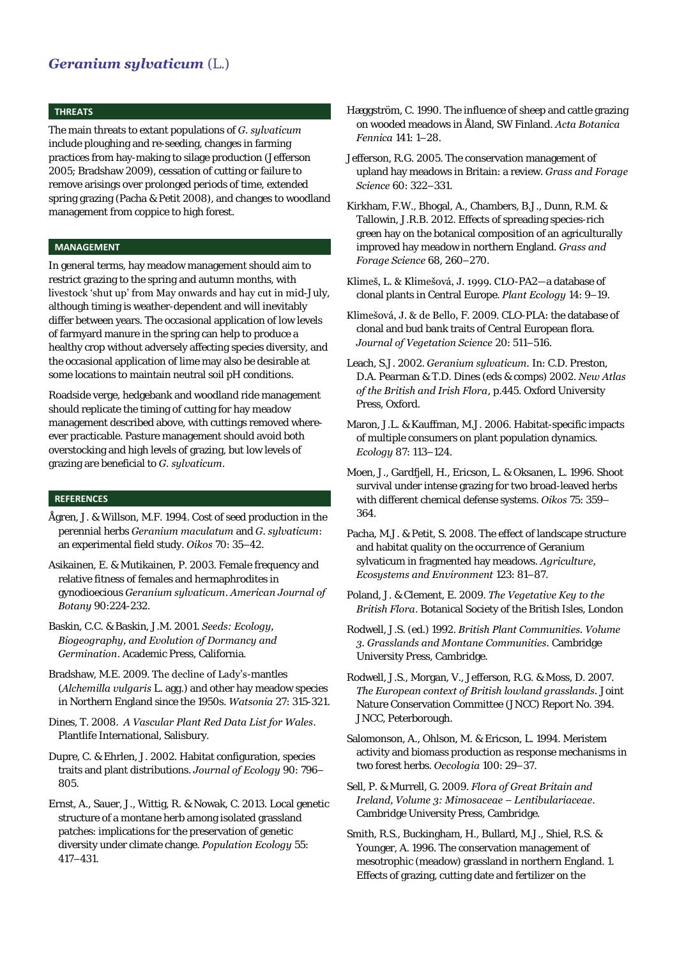## *Geranium sylvaticum* (L.)

#### **THREATS**

The main threats to extant populations of *G. sylvaticum* include ploughing and re-seeding, changes in farming practices from hay-making to silage production (Jefferson 2005; Bradshaw 2009), cessation of cutting or failure to remove arisings over prolonged periods of time, extended spring grazing (Pacha & Petit 2008), and changes to woodland management from coppice to high forest.

## **MANAGEMENT**

In general terms, hay meadow management should aim to restrict grazing to the spring and autumn months, with livestock 'shut up' from May onwards and hay cut in mid-July, although timing is weather-dependent and will inevitably differ between years. The occasional application of low levels of farmyard manure in the spring can help to produce a healthy crop without adversely affecting species diversity, and the occasional application of lime may also be desirable at some locations to maintain neutral soil pH conditions.

Roadside verge, hedgebank and woodland ride management should replicate the timing of cutting for hay meadow management described above, with cuttings removed whereever practicable. Pasture management should avoid both overstocking and high levels of grazing, but low levels of grazing are beneficial to *G. sylvaticum*.

### **REFERENCES**

Ågren, J. & Willson, M.F. 1994. Cost of seed production in the perennial herbs *Geranium maculatum* and *G. sylvaticum*: an experimental field study. *Oikos* 70: 35–42.

Asikainen, E. & Mutikainen, P. 2003. Female frequency and relative fitness of females and hermaphrodites in gynodioecious *Geranium sylvaticum*. *American Journal of Botany* 90:224-232.

Baskin, C.C. & Baskin, J.M. 2001. *Seeds: Ecology, Biogeography, and Evolution of Dormancy and Germination*. Academic Press, California.

- Bradshaw, M.E. 2009. The decline of Lady's-mantles (*Alchemilla vulgaris* L. agg.) and other hay meadow species in Northern England since the 1950s. *Watsonia* 27: 315-321.
- Dines, T. 2008. *A Vascular Plant Red Data List for Wales*. Plantlife International, Salisbury.
- Dupre, C. & Ehrlen, J. 2002. Habitat configuration, species traits and plant distributions. *Journal of Ecology* 90: 796– 805.

Ernst, A., Sauer, J., Wittig, R. & Nowak, C. 2013. Local genetic structure of a montane herb among isolated grassland patches: implications for the preservation of genetic diversity under climate change. *Population Ecology* 55: 417–431.

- Hæggström, C. 1990. The influence of sheep and cattle grazing on wooded meadows in Åland, SW Finland. *Acta Botanica Fennica* 141: 1–28.
- Jefferson, R.G. 2005. The conservation management of upland hay meadows in Britain: a review. *Grass and Forage Science* 60: 322–331.
- Kirkham, F.W., Bhogal, A., Chambers, B.J., Dunn, R.M. & Tallowin, J.R.B. 2012. Effects of spreading species-rich green hay on the botanical composition of an agriculturally improved hay meadow in northern England. *Grass and Forage Science* 68, 260–270.
- Klimeš, L. & Klimešová, J. 1999. CLO-PA2—a database of clonal plants in Central Europe. *Plant Ecology* 14: 9–19.
- Klimešová, J. & de Bello, F. 2009. CLO-PLA: the database of clonal and bud bank traits of Central European flora. *Journal of Vegetation Science* 20: 511–516.
- Leach, S.J. 2002. *Geranium sylvaticum.* In: C.D. Preston, D.A. Pearman & T.D. Dines (eds & comps) 2002. *New Atlas of the British and Irish Flora*, p.445. Oxford University Press, Oxford.
- Maron, J.L. & Kauffman, M.J. 2006. Habitat-specific impacts of multiple consumers on plant population dynamics. *Ecology* 87: 113–124.
- Moen, J., Gardfjell, H., Ericson, L. & Oksanen, L. 1996. Shoot survival under intense grazing for two broad-leaved herbs with different chemical defense systems. *Oikos* 75: 359– 364.
- Pacha, M.J. & Petit, S. 2008. The effect of landscape structure and habitat quality on the occurrence of Geranium sylvaticum in fragmented hay meadows. *Agriculture, Ecosystems and Environment* 123: 81–87.
- Poland, J. & Clement, E. 2009. *The Vegetative Key to the British Flora*. Botanical Society of the British Isles, London
- Rodwell, J.S. (ed.) 1992. *British Plant Communities. Volume 3. Grasslands and Montane Communities.* Cambridge University Press, Cambridge.
- Rodwell, J.S., Morgan, V., Jefferson, R.G. & Moss, D. 2007. *The European context of British lowland grasslands.* Joint Nature Conservation Committee (JNCC) Report No. 394. JNCC, Peterborough.
- Salomonson, A., Ohlson, M. & Ericson, L. 1994. Meristem activity and biomass production as response mechanisms in two forest herbs. *Oecologia* 100: 29–37.
- Sell, P. & Murrell, G. 2009. *Flora of Great Britain and Ireland, Volume 3: Mimosaceae – Lentibulariaceae*. Cambridge University Press, Cambridge.
- Smith, R.S., Buckingham, H., Bullard, M.J., Shiel, R.S. & Younger, A. 1996. The conservation management of mesotrophic (meadow) grassland in northern England. 1. Effects of grazing, cutting date and fertilizer on the